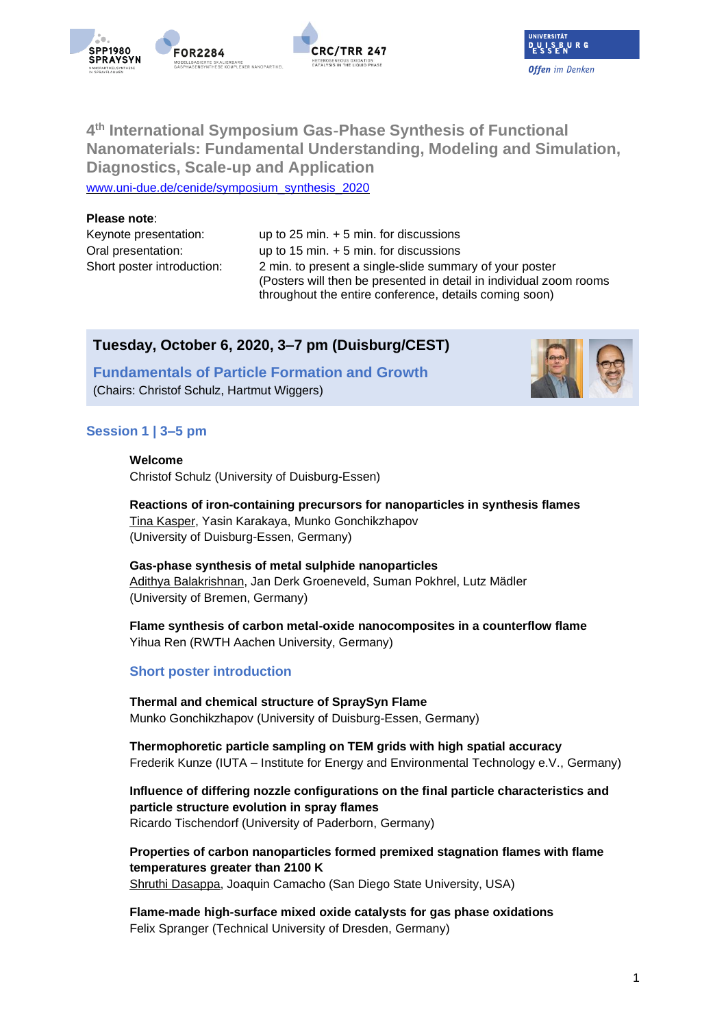



# **4 th International Symposium Gas**‐**Phase Synthesis of Functional Nanomaterials: Fundamental Understanding, Modeling and Simulation, Diagnostics, Scale**‐**up and Application**

[www.uni-due.de/cenide/symposium\\_synthesis\\_2020](https://www.uni-due.de/cenide/symposium_synthesis_2020.php)

#### **Please note**:

Keynote presentation: up to 25 min. + 5 min. for discussions Oral presentation: up to 15 min. + 5 min. for discussions Short poster introduction: 2 min. to present a single-slide summary of your poster (Posters will then be presented in detail in individual zoom rooms throughout the entire conference, details coming soon)

## **Tuesday, October 6, 2020, 3–7 pm (Duisburg/CEST)**

**Fundamentals of Particle Formation and Growth**  (Chairs: Christof Schulz, Hartmut Wiggers)

### **Session 1 | 3–5 pm**

**Welcome**

Christof Schulz (University of Duisburg-Essen)

**Reactions of iron-containing precursors for nanoparticles in synthesis flames** Tina Kasper, Yasin Karakaya, Munko Gonchikzhapov (University of Duisburg-Essen, Germany)

#### **Gas-phase synthesis of metal sulphide nanoparticles** Adithya Balakrishnan, Jan Derk Groeneveld, Suman Pokhrel, Lutz Mädler (University of Bremen, Germany)

**Flame synthesis of carbon metal-oxide nanocomposites in a counterflow flame** Yihua Ren (RWTH Aachen University, Germany)

### **Short poster introduction**

**Thermal and chemical structure of SpraySyn Flame** Munko Gonchikzhapov (University of Duisburg-Essen, Germany)

**Thermophoretic particle sampling on TEM grids with high spatial accuracy** Frederik Kunze (IUTA – Institute for Energy and Environmental Technology e.V., Germany)

**Influence of differing nozzle configurations on the final particle characteristics and particle structure evolution in spray flames** Ricardo Tischendorf (University of Paderborn, Germany)

**Properties of carbon nanoparticles formed premixed stagnation flames with flame temperatures greater than 2100 K** Shruthi Dasappa, Joaquin Camacho (San Diego State University, USA)

**Flame-made high-surface mixed oxide catalysts for gas phase oxidations** Felix Spranger (Technical University of Dresden, Germany)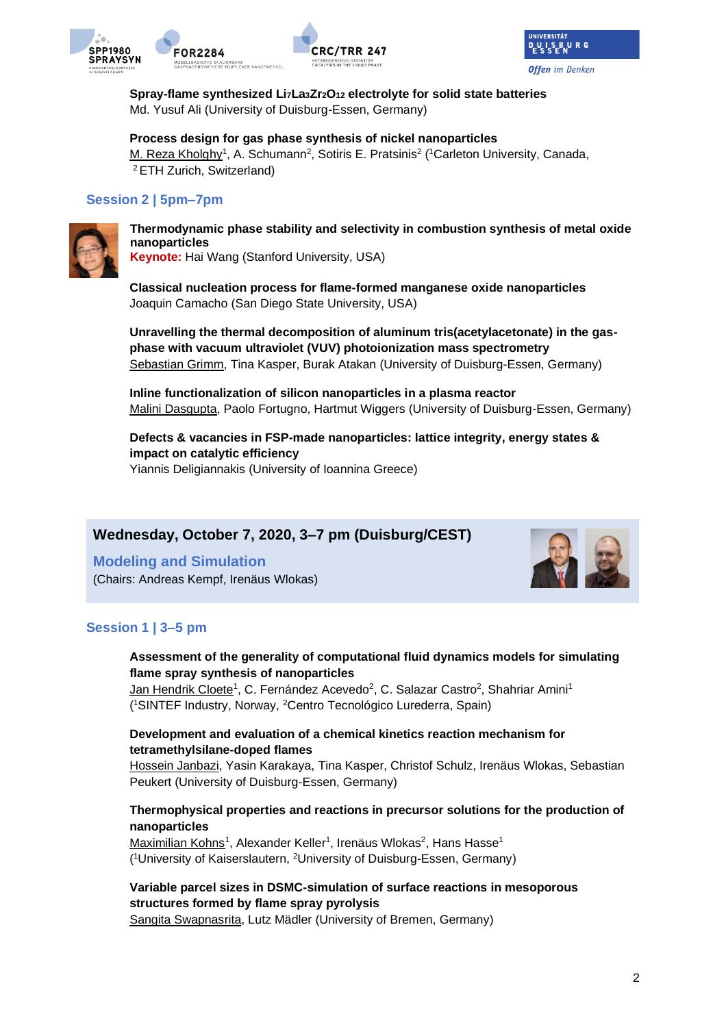



**Spray-flame synthesized Li7La3Zr2O<sup>12</sup> electrolyte for solid state batteries** Md. Yusuf Ali (University of Duisburg-Essen, Germany)

**CRC/TRR 247** 

**Process design for gas phase synthesis of nickel nanoparticles** M. Reza Kholghy<sup>1</sup>, A. Schumann<sup>2</sup>, Sotiris E. Pratsinis<sup>2</sup> (<sup>1</sup>Carleton University, Canada, <sup>2</sup>ETH Zurich, Switzerland)

### **Session 2 | 5pm–7pm**



**Thermodynamic phase stability and selectivity in combustion synthesis of metal oxide nanoparticles**

**Keynote:** Hai Wang (Stanford University, USA)

**Classical nucleation process for flame-formed manganese oxide nanoparticles** Joaquin Camacho (San Diego State University, USA)

**Unravelling the thermal decomposition of aluminum tris(acetylacetonate) in the gasphase with vacuum ultraviolet (VUV) photoionization mass spectrometry** Sebastian Grimm, Tina Kasper, Burak Atakan (University of Duisburg-Essen, Germany)

**Inline functionalization of silicon nanoparticles in a plasma reactor** Malini Dasgupta, Paolo Fortugno, Hartmut Wiggers (University of Duisburg-Essen, Germany)

**Defects & vacancies in FSP-made nanoparticles: lattice integrity, energy states & impact on catalytic efficiency** Yiannis Deligiannakis (University of Ioannina Greece)

# **Wednesday, October 7, 2020, 3–7 pm (Duisburg/CEST)**

**Modeling and Simulation** (Chairs: Andreas Kempf, Irenäus Wlokas)



### **Session 1 | 3–5 pm**

### **Assessment of the generality of computational fluid dynamics models for simulating flame spray synthesis of nanoparticles**

Jan Hendrik Cloete<sup>1</sup>, C. Fernández Acevedo<sup>2</sup>, C. Salazar Castro<sup>2</sup>, Shahriar Amini<sup>1</sup> ( <sup>1</sup>SINTEF Industry, Norway, <sup>2</sup>Centro Tecnológico Lurederra, Spain)

### **Development and evaluation of a chemical kinetics reaction mechanism for tetramethylsilane-doped flames**

Hossein Janbazi, Yasin Karakaya, Tina Kasper, Christof Schulz, Irenäus Wlokas, Sebastian Peukert (University of Duisburg-Essen, Germany)

### **Thermophysical properties and reactions in precursor solutions for the production of nanoparticles**

Maximilian Kohns<sup>1</sup>, Alexander Keller<sup>1</sup>, Irenäus Wlokas<sup>2</sup>, Hans Hasse<sup>1</sup> (<sup>1</sup>University of Kaiserslautern, <sup>2</sup>University of Duisburg-Essen, Germany)

# **Variable parcel sizes in DSMC-simulation of surface reactions in mesoporous structures formed by flame spray pyrolysis**

Sangita Swapnasrita, Lutz Mädler (University of Bremen, Germany)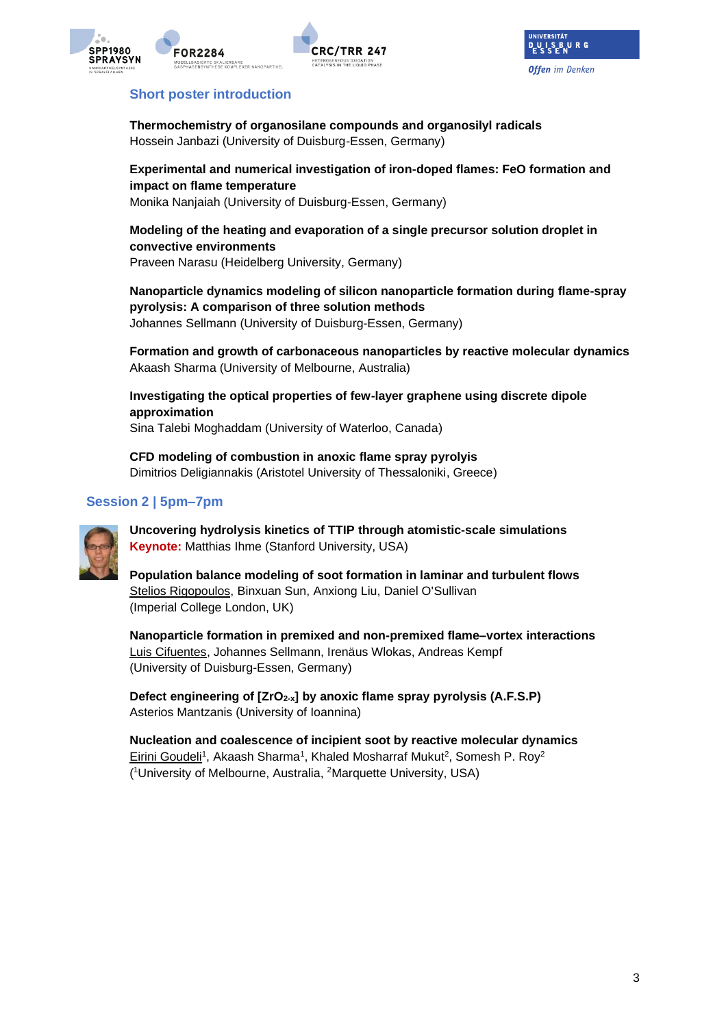





### **Short poster introduction**

**Thermochemistry of organosilane compounds and organosilyl radicals** Hossein Janbazi (University of Duisburg-Essen, Germany)

**Experimental and numerical investigation of iron-doped flames: FeO formation and impact on flame temperature** Monika Nanjaiah (University of Duisburg-Essen, Germany)

**Modeling of the heating and evaporation of a single precursor solution droplet in convective environments** Praveen Narasu (Heidelberg University, Germany)

**Nanoparticle dynamics modeling of silicon nanoparticle formation during flame-spray pyrolysis: A comparison of three solution methods** Johannes Sellmann (University of Duisburg-Essen, Germany)

**Formation and growth of carbonaceous nanoparticles by reactive molecular dynamics** Akaash Sharma (University of Melbourne, Australia)

**Investigating the optical properties of few-layer graphene using discrete dipole approximation**

Sina Talebi Moghaddam (University of Waterloo, Canada)

**CFD modeling of combustion in anoxic flame spray pyrolyis** Dimitrios Deligiannakis (Aristotel University of Thessaloniki, Greece)

## **Session 2 | 5pm–7pm**



**Uncovering hydrolysis kinetics of TTIP through atomistic-scale simulations Keynote:** Matthias Ihme (Stanford University, USA)

**Population balance modeling of soot formation in laminar and turbulent flows** Stelios Rigopoulos, Binxuan Sun, Anxiong Liu, Daniel O'Sullivan (Imperial College London, UK)

**Nanoparticle formation in premixed and non-premixed flame–vortex interactions** Luis Cifuentes, Johannes Sellmann, Irenäus Wlokas, Andreas Kempf (University of Duisburg-Essen, Germany)

**Defect engineering of [ZrO2-x] by anoxic flame spray pyrolysis (A.F.S.P)** Asterios Mantzanis (University of Ioannina)

**Nucleation and coalescence of incipient soot by reactive molecular dynamics** Eirini Goudeli<sup>1</sup>, Akaash Sharma<sup>1</sup>, Khaled Mosharraf Mukut<sup>2</sup>, Somesh P. Roy<sup>2</sup> ( <sup>1</sup>University of Melbourne, Australia, 2Marquette University, USA)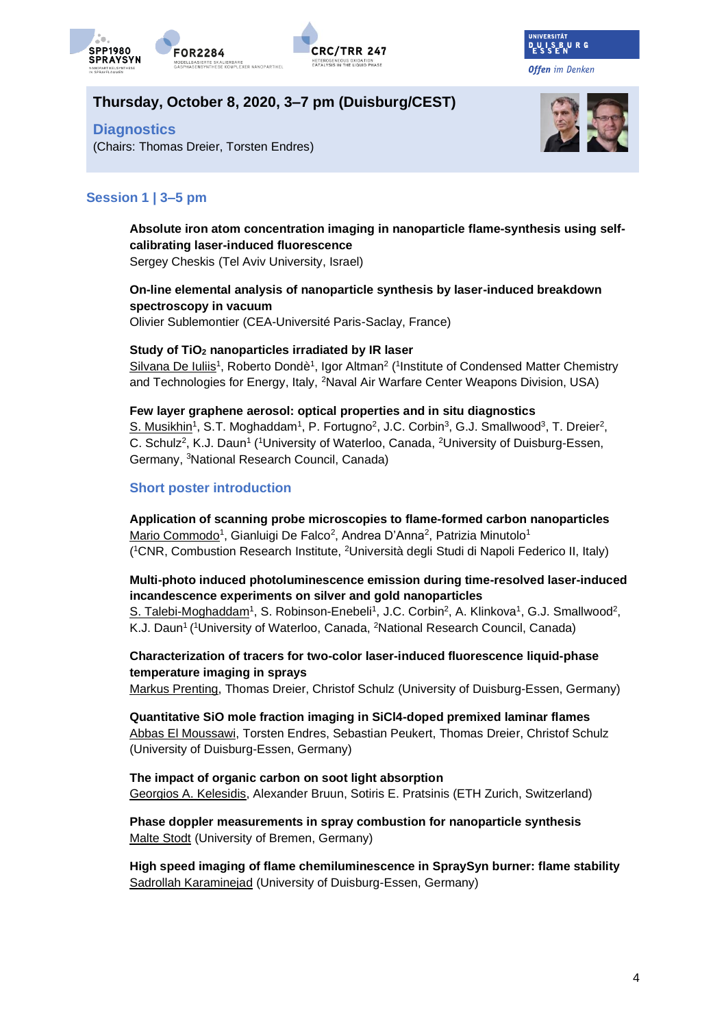





**Offen** im Denken

# **Thursday, October 8, 2020, 3–7 pm (Duisburg/CEST)**

**Diagnostics**



# (Chairs: Thomas Dreier, Torsten Endres)

# **Session 1 | 3–5 pm**

# **Absolute iron atom concentration imaging in nanoparticle flame-synthesis using selfcalibrating laser-induced fluorescence**

Sergey Cheskis (Tel Aviv University, Israel)

# **On-line elemental analysis of nanoparticle synthesis by laser-induced breakdown spectroscopy in vacuum**

Olivier Sublemontier (CEA-Université Paris-Saclay, France)

### **Study of TiO<sup>2</sup> nanoparticles irradiated by IR laser**

Silvana De Iuliis<sup>1</sup>, Roberto Dondè<sup>1</sup>, Igor Altman<sup>2</sup> (<sup>1</sup>Institute of Condensed Matter Chemistry and Technologies for Energy, Italy, <sup>2</sup>Naval Air Warfare Center Weapons Division, USA)

### **Few layer graphene aerosol: optical properties and in situ diagnostics**

S. Musikhin<sup>1</sup>, S.T. Moghaddam<sup>1</sup>, P. Fortugno<sup>2</sup>, J.C. Corbin<sup>3</sup>, G.J. Smallwood<sup>3</sup>, T. Dreier<sup>2</sup>, C. Schulz<sup>2</sup>, K.J. Daun<sup>1</sup> (<sup>1</sup>University of Waterloo, Canada, <sup>2</sup>University of Duisburg-Essen, Germany, <sup>3</sup>National Research Council, Canada)

### **Short poster introduction**

**Application of scanning probe microscopies to flame-formed carbon nanoparticles** Mario Commodo<sup>1</sup>, Gianluigi De Falco<sup>2</sup>, Andrea D'Anna<sup>2</sup>, Patrizia Minutolo<sup>1</sup> ( <sup>1</sup>CNR, Combustion Research Institute, <sup>2</sup>Università degli Studi di Napoli Federico II, Italy)

### **Multi-photo induced photoluminescence emission during time-resolved laser-induced incandescence experiments on silver and gold nanoparticles**

S. Talebi-Moghaddam<sup>1</sup>, S. Robinson-Enebeli<sup>1</sup>, J.C. Corbin<sup>2</sup>, A. Klinkova<sup>1</sup>, G.J. Smallwood<sup>2</sup>, K.J. Daun<sup>1</sup> (<sup>1</sup>University of Waterloo, Canada, <sup>2</sup>National Research Council, Canada)

### **Characterization of tracers for two-color laser-induced fluorescence liquid-phase temperature imaging in sprays**

Markus Prenting, Thomas Dreier, Christof Schulz (University of Duisburg-Essen, Germany)

**Quantitative SiO mole fraction imaging in SiCl4-doped premixed laminar flames** Abbas El Moussawi, Torsten Endres, Sebastian Peukert, Thomas Dreier, Christof Schulz (University of Duisburg-Essen, Germany)

### **The impact of organic carbon on soot light absorption** Georgios A. Kelesidis, Alexander Bruun, Sotiris E. Pratsinis (ETH Zurich, Switzerland)

**Phase doppler measurements in spray combustion for nanoparticle synthesis** Malte Stodt (University of Bremen, Germany)

**High speed imaging of flame chemiluminescence in SpraySyn burner: flame stability** Sadrollah Karaminejad (University of Duisburg-Essen, Germany)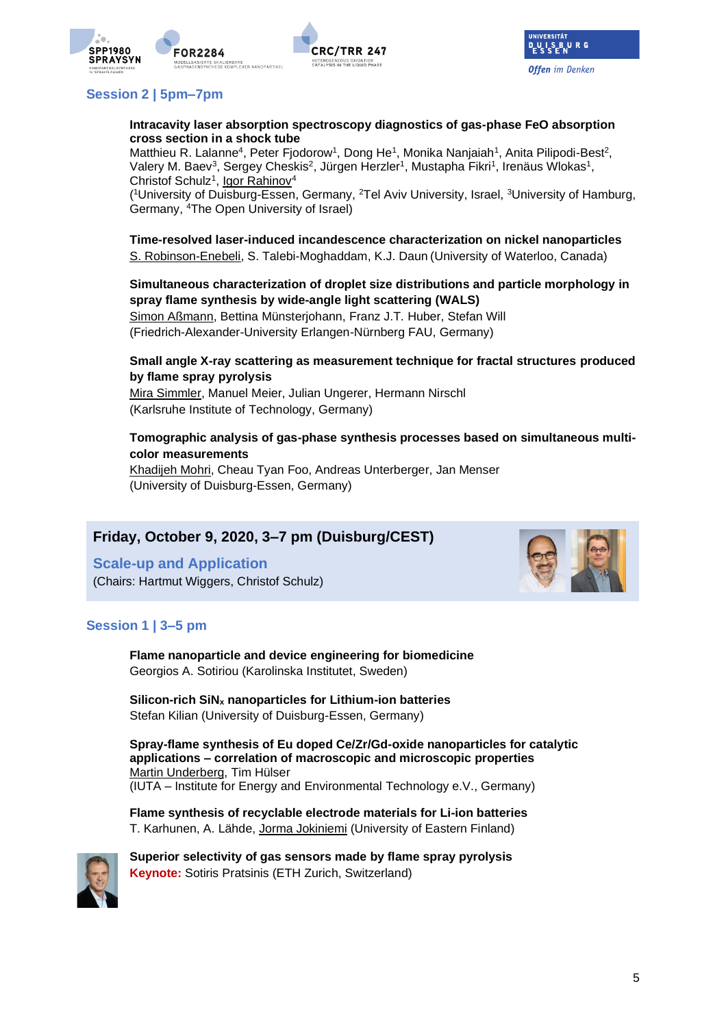



# **Session 2 | 5pm–7pm**

#### **Intracavity laser absorption spectroscopy diagnostics of gas-phase FeO absorption cross section in a shock tube**

Matthieu R. Lalanne<sup>4</sup>, Peter Fjodorow<sup>1</sup>, Dong He<sup>1</sup>, Monika Nanjaiah<sup>1</sup>, Anita Pilipodi-Best<sup>2</sup>, Valery M. Baev<sup>3</sup>, Sergey Cheskis<sup>2</sup>, Jürgen Herzler<sup>1</sup>, Mustapha Fikri<sup>1</sup>, Irenäus Wlokas<sup>1</sup>, Christof Schulz<sup>1</sup>, Igor Rahinov<sup>4</sup>

(<sup>1</sup>University of Duisburg-Essen, Germany, <sup>2</sup>Tel Aviv University, Israel, <sup>3</sup>University of Hamburg, Germany, <sup>4</sup>The Open University of Israel)

**Time-resolved laser-induced incandescence characterization on nickel nanoparticles** S. Robinson-Enebeli, S. Talebi-Moghaddam, K.J. Daun(University of Waterloo, Canada)

**Simultaneous characterization of droplet size distributions and particle morphology in spray flame synthesis by wide-angle light scattering (WALS)**

Simon Aßmann, Bettina Münsterjohann, Franz J.T. Huber, Stefan Will (Friedrich-Alexander-University Erlangen-Nürnberg FAU, Germany)

### **Small angle X-ray scattering as measurement technique for fractal structures produced by flame spray pyrolysis**

Mira Simmler, Manuel Meier, Julian Ungerer, Hermann Nirschl (Karlsruhe Institute of Technology, Germany)

### **Tomographic analysis of gas-phase synthesis processes based on simultaneous multicolor measurements**

Khadijeh Mohri, Cheau Tyan Foo, Andreas Unterberger, Jan Menser (University of Duisburg-Essen, Germany)

# **Friday, October 9, 2020, 3–7 pm (Duisburg/CEST)**

**Scale-up and Application** (Chairs: Hartmut Wiggers, Christof Schulz)



### **Session 1 | 3–5 pm**

**Flame nanoparticle and device engineering for biomedicine** Georgios A. Sotiriou (Karolinska Institutet, Sweden)

**Silicon-rich SiN<sup>x</sup> nanoparticles for Lithium-ion batteries**  Stefan Kilian (University of Duisburg-Essen, Germany)

**Spray-flame synthesis of Eu doped Ce/Zr/Gd-oxide nanoparticles for catalytic applications – correlation of macroscopic and microscopic properties**  Martin Underberg, Tim Hülser (IUTA – Institute for Energy and Environmental Technology e.V., Germany)

**Flame synthesis of recyclable electrode materials for Li-ion batteries** T. Karhunen, A. Lähde, Jorma Jokiniemi (University of Eastern Finland)



**Superior selectivity of gas sensors made by flame spray pyrolysis Keynote:** Sotiris Pratsinis (ETH Zurich, Switzerland)